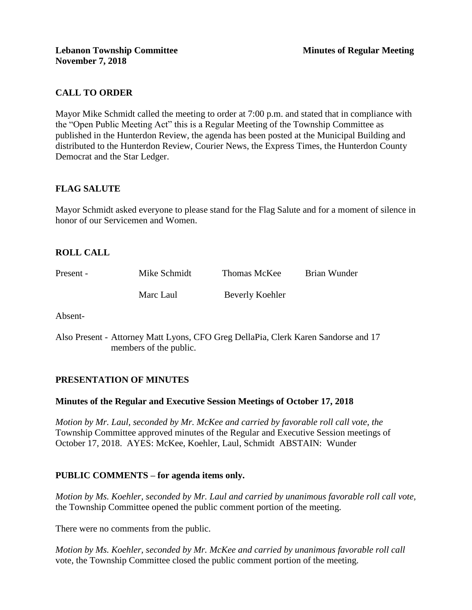# **CALL TO ORDER**

Mayor Mike Schmidt called the meeting to order at 7:00 p.m. and stated that in compliance with the "Open Public Meeting Act" this is a Regular Meeting of the Township Committee as published in the Hunterdon Review, the agenda has been posted at the Municipal Building and distributed to the Hunterdon Review, Courier News, the Express Times, the Hunterdon County Democrat and the Star Ledger.

# **FLAG SALUTE**

Mayor Schmidt asked everyone to please stand for the Flag Salute and for a moment of silence in honor of our Servicemen and Women.

# **ROLL CALL**

| Present - | Mike Schmidt | Thomas McKee    | Brian Wunder |
|-----------|--------------|-----------------|--------------|
|           | Marc Laul    | Beverly Koehler |              |

Absent-

Also Present - Attorney Matt Lyons, CFO Greg DellaPia, Clerk Karen Sandorse and 17 members of the public.

### **PRESENTATION OF MINUTES**

### **Minutes of the Regular and Executive Session Meetings of October 17, 2018**

*Motion by Mr. Laul, seconded by Mr. McKee and carried by favorable roll call vote, the* Township Committee approved minutes of the Regular and Executive Session meetings of October 17, 2018. AYES: McKee, Koehler, Laul, Schmidt ABSTAIN: Wunder

### **PUBLIC COMMENTS – for agenda items only.**

*Motion by Ms. Koehler, seconded by Mr. Laul and carried by unanimous favorable roll call vote,* the Township Committee opened the public comment portion of the meeting.

There were no comments from the public.

*Motion by Ms. Koehler, seconded by Mr. McKee and carried by unanimous favorable roll call*  vote*,* the Township Committee closed the public comment portion of the meeting.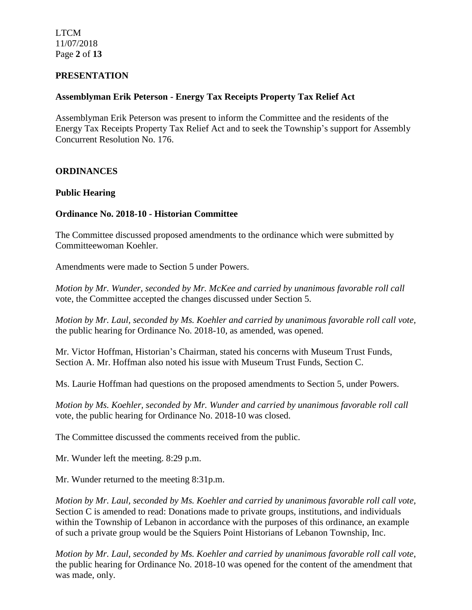LTCM 11/07/2018 Page **2** of **13**

### **PRESENTATION**

### **Assemblyman Erik Peterson - Energy Tax Receipts Property Tax Relief Act**

Assemblyman Erik Peterson was present to inform the Committee and the residents of the Energy Tax Receipts Property Tax Relief Act and to seek the Township's support for Assembly Concurrent Resolution No. 176.

# **ORDINANCES**

### **Public Hearing**

### **Ordinance No. 2018-10 - Historian Committee**

The Committee discussed proposed amendments to the ordinance which were submitted by Committeewoman Koehler.

Amendments were made to Section 5 under Powers.

*Motion by Mr. Wunder, seconded by Mr. McKee and carried by unanimous favorable roll call* vote, the Committee accepted the changes discussed under Section 5.

*Motion by Mr. Laul, seconded by Ms. Koehler and carried by unanimous favorable roll call vote,* the public hearing for Ordinance No. 2018-10, as amended, was opened.

Mr. Victor Hoffman, Historian's Chairman, stated his concerns with Museum Trust Funds, Section A. Mr. Hoffman also noted his issue with Museum Trust Funds, Section C.

Ms. Laurie Hoffman had questions on the proposed amendments to Section 5, under Powers.

*Motion by Ms. Koehler, seconded by Mr. Wunder and carried by unanimous favorable roll call*  vote, the public hearing for Ordinance No. 2018-10 was closed.

The Committee discussed the comments received from the public.

Mr. Wunder left the meeting. 8:29 p.m.

Mr. Wunder returned to the meeting 8:31p.m.

*Motion by Mr. Laul, seconded by Ms. Koehler and carried by unanimous favorable roll call vote,* Section C is amended to read: Donations made to private groups, institutions, and individuals within the Township of Lebanon in accordance with the purposes of this ordinance, an example of such a private group would be the Squiers Point Historians of Lebanon Township, Inc.

*Motion by Mr. Laul, seconded by Ms. Koehler and carried by unanimous favorable roll call vote*, the public hearing for Ordinance No. 2018-10 was opened for the content of the amendment that was made, only.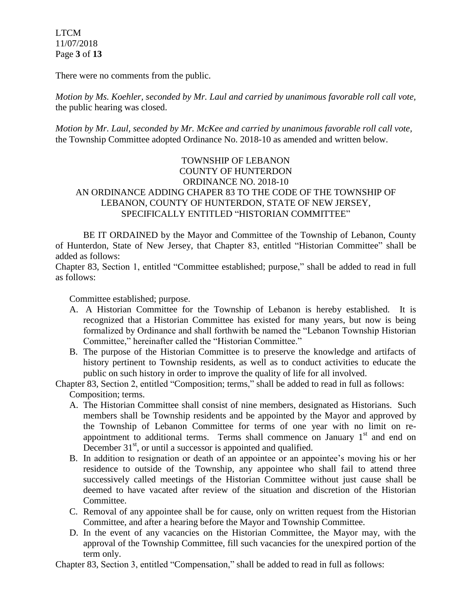LTCM 11/07/2018 Page **3** of **13**

There were no comments from the public.

*Motion by Ms. Koehler, seconded by Mr. Laul and carried by unanimous favorable roll call vote,* the public hearing was closed.

*Motion by Mr. Laul, seconded by Mr. McKee and carried by unanimous favorable roll call vote,*  the Township Committee adopted Ordinance No. 2018-10 as amended and written below.

# TOWNSHIP OF LEBANON COUNTY OF HUNTERDON ORDINANCE NO. 2018-10 AN ORDINANCE ADDING CHAPER 83 TO THE CODE OF THE TOWNSHIP OF LEBANON, COUNTY OF HUNTERDON, STATE OF NEW JERSEY, SPECIFICALLY ENTITLED "HISTORIAN COMMITTEE"

BE IT ORDAINED by the Mayor and Committee of the Township of Lebanon, County of Hunterdon, State of New Jersey, that Chapter 83, entitled "Historian Committee" shall be added as follows:

Chapter 83, Section 1, entitled "Committee established; purpose," shall be added to read in full as follows:

Committee established; purpose.

- A. A Historian Committee for the Township of Lebanon is hereby established. It is recognized that a Historian Committee has existed for many years, but now is being formalized by Ordinance and shall forthwith be named the "Lebanon Township Historian Committee," hereinafter called the "Historian Committee."
- B. The purpose of the Historian Committee is to preserve the knowledge and artifacts of history pertinent to Township residents, as well as to conduct activities to educate the public on such history in order to improve the quality of life for all involved.

Chapter 83, Section 2, entitled "Composition; terms," shall be added to read in full as follows: Composition; terms.

- A. The Historian Committee shall consist of nine members, designated as Historians. Such members shall be Township residents and be appointed by the Mayor and approved by the Township of Lebanon Committee for terms of one year with no limit on reappointment to additional terms. Terms shall commence on January  $1<sup>st</sup>$  and end on December  $31<sup>st</sup>$ , or until a successor is appointed and qualified.
- B. In addition to resignation or death of an appointee or an appointee's moving his or her residence to outside of the Township, any appointee who shall fail to attend three successively called meetings of the Historian Committee without just cause shall be deemed to have vacated after review of the situation and discretion of the Historian Committee.
- C. Removal of any appointee shall be for cause, only on written request from the Historian Committee, and after a hearing before the Mayor and Township Committee.
- D. In the event of any vacancies on the Historian Committee, the Mayor may, with the approval of the Township Committee, fill such vacancies for the unexpired portion of the term only.

Chapter 83, Section 3, entitled "Compensation," shall be added to read in full as follows: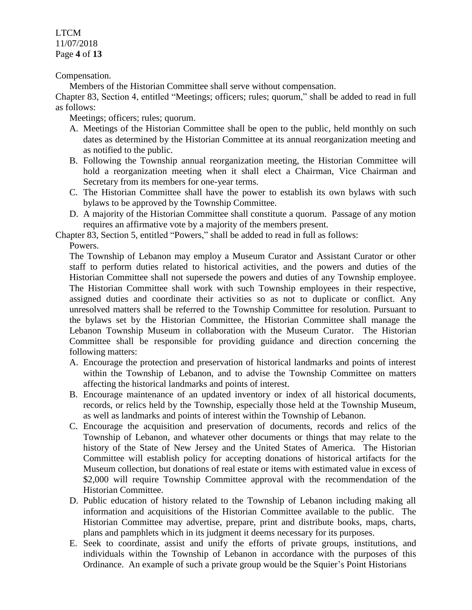LTCM 11/07/2018 Page **4** of **13**

Compensation.

Members of the Historian Committee shall serve without compensation.

Chapter 83, Section 4, entitled "Meetings; officers; rules; quorum," shall be added to read in full as follows:

Meetings; officers; rules; quorum.

- A. Meetings of the Historian Committee shall be open to the public, held monthly on such dates as determined by the Historian Committee at its annual reorganization meeting and as notified to the public.
- B. Following the Township annual reorganization meeting, the Historian Committee will hold a reorganization meeting when it shall elect a Chairman, Vice Chairman and Secretary from its members for one-year terms.
- C. The Historian Committee shall have the power to establish its own bylaws with such bylaws to be approved by the Township Committee.
- D. A majority of the Historian Committee shall constitute a quorum. Passage of any motion requires an affirmative vote by a majority of the members present.

Chapter 83, Section 5, entitled "Powers," shall be added to read in full as follows:

Powers.

The Township of Lebanon may employ a Museum Curator and Assistant Curator or other staff to perform duties related to historical activities, and the powers and duties of the Historian Committee shall not supersede the powers and duties of any Township employee. The Historian Committee shall work with such Township employees in their respective, assigned duties and coordinate their activities so as not to duplicate or conflict. Any unresolved matters shall be referred to the Township Committee for resolution. Pursuant to the bylaws set by the Historian Committee, the Historian Committee shall manage the Lebanon Township Museum in collaboration with the Museum Curator. The Historian Committee shall be responsible for providing guidance and direction concerning the following matters:

- A. Encourage the protection and preservation of historical landmarks and points of interest within the Township of Lebanon, and to advise the Township Committee on matters affecting the historical landmarks and points of interest.
- B. Encourage maintenance of an updated inventory or index of all historical documents, records, or relics held by the Township, especially those held at the Township Museum, as well as landmarks and points of interest within the Township of Lebanon.
- C. Encourage the acquisition and preservation of documents, records and relics of the Township of Lebanon, and whatever other documents or things that may relate to the history of the State of New Jersey and the United States of America. The Historian Committee will establish policy for accepting donations of historical artifacts for the Museum collection, but donations of real estate or items with estimated value in excess of \$2,000 will require Township Committee approval with the recommendation of the Historian Committee.
- D. Public education of history related to the Township of Lebanon including making all information and acquisitions of the Historian Committee available to the public. The Historian Committee may advertise, prepare, print and distribute books, maps, charts, plans and pamphlets which in its judgment it deems necessary for its purposes.
- E. Seek to coordinate, assist and unify the efforts of private groups, institutions, and individuals within the Township of Lebanon in accordance with the purposes of this Ordinance. An example of such a private group would be the Squier's Point Historians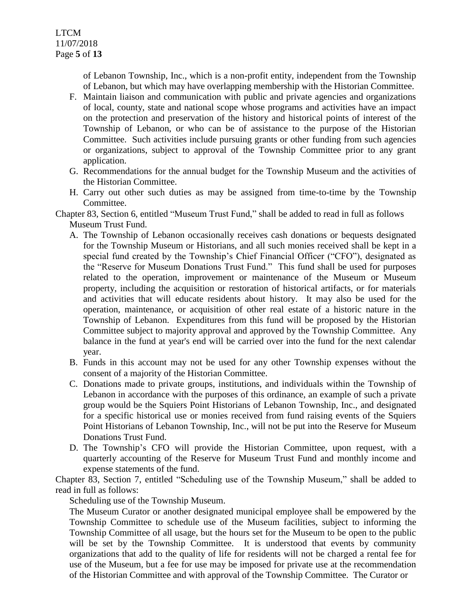of Lebanon Township, Inc., which is a non-profit entity, independent from the Township of Lebanon, but which may have overlapping membership with the Historian Committee.

- F. Maintain liaison and communication with public and private agencies and organizations of local, county, state and national scope whose programs and activities have an impact on the protection and preservation of the history and historical points of interest of the Township of Lebanon, or who can be of assistance to the purpose of the Historian Committee. Such activities include pursuing grants or other funding from such agencies or organizations, subject to approval of the Township Committee prior to any grant application.
- G. Recommendations for the annual budget for the Township Museum and the activities of the Historian Committee.
- H. Carry out other such duties as may be assigned from time-to-time by the Township Committee.

Chapter 83, Section 6, entitled "Museum Trust Fund," shall be added to read in full as follows Museum Trust Fund.

- A. The Township of Lebanon occasionally receives cash donations or bequests designated for the Township Museum or Historians, and all such monies received shall be kept in a special fund created by the Township's Chief Financial Officer ("CFO"), designated as the "Reserve for Museum Donations Trust Fund." This fund shall be used for purposes related to the operation, improvement or maintenance of the Museum or Museum property, including the acquisition or restoration of historical artifacts, or for materials and activities that will educate residents about history. It may also be used for the operation, maintenance, or acquisition of other real estate of a historic nature in the Township of Lebanon. Expenditures from this fund will be proposed by the Historian Committee subject to majority approval and approved by the Township Committee. Any balance in the fund at year's end will be carried over into the fund for the next calendar year.
- B. Funds in this account may not be used for any other Township expenses without the consent of a majority of the Historian Committee.
- C. Donations made to private groups, institutions, and individuals within the Township of Lebanon in accordance with the purposes of this ordinance, an example of such a private group would be the Squiers Point Historians of Lebanon Township, Inc., and designated for a specific historical use or monies received from fund raising events of the Squiers Point Historians of Lebanon Township, Inc., will not be put into the Reserve for Museum Donations Trust Fund.
- D. The Township's CFO will provide the Historian Committee, upon request, with a quarterly accounting of the Reserve for Museum Trust Fund and monthly income and expense statements of the fund.

Chapter 83, Section 7, entitled "Scheduling use of the Township Museum," shall be added to read in full as follows:

Scheduling use of the Township Museum.

The Museum Curator or another designated municipal employee shall be empowered by the Township Committee to schedule use of the Museum facilities, subject to informing the Township Committee of all usage, but the hours set for the Museum to be open to the public will be set by the Township Committee. It is understood that events by community organizations that add to the quality of life for residents will not be charged a rental fee for use of the Museum, but a fee for use may be imposed for private use at the recommendation of the Historian Committee and with approval of the Township Committee. The Curator or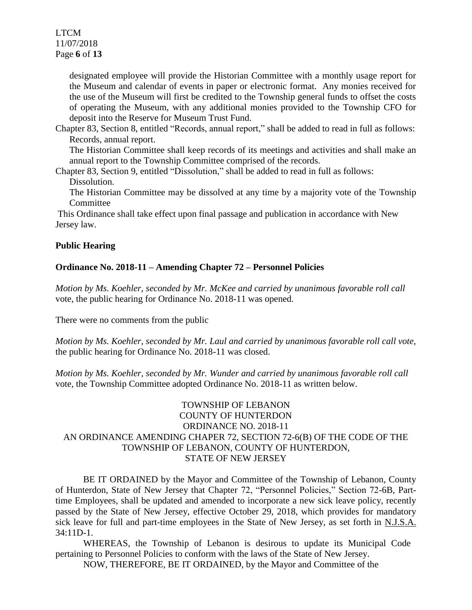LTCM 11/07/2018 Page **6** of **13**

> designated employee will provide the Historian Committee with a monthly usage report for the Museum and calendar of events in paper or electronic format. Any monies received for the use of the Museum will first be credited to the Township general funds to offset the costs of operating the Museum, with any additional monies provided to the Township CFO for deposit into the Reserve for Museum Trust Fund.

Chapter 83, Section 8, entitled "Records, annual report," shall be added to read in full as follows: Records, annual report.

The Historian Committee shall keep records of its meetings and activities and shall make an annual report to the Township Committee comprised of the records.

Chapter 83, Section 9, entitled "Dissolution," shall be added to read in full as follows: Dissolution.

The Historian Committee may be dissolved at any time by a majority vote of the Township **Committee** 

This Ordinance shall take effect upon final passage and publication in accordance with New Jersey law.

# **Public Hearing**

# **Ordinance No. 2018-11 – Amending Chapter 72 – Personnel Policies**

*Motion by Ms. Koehler, seconded by Mr. McKee and carried by unanimous favorable roll call*  vote, the public hearing for Ordinance No. 2018-11 was opened.

There were no comments from the public

*Motion by Ms. Koehler, seconded by Mr. Laul and carried by unanimous favorable roll call vote,* the public hearing for Ordinance No. 2018-11 was closed.

*Motion by Ms. Koehler, seconded by Mr. Wunder and carried by unanimous favorable roll call*  vote*,* the Township Committee adopted Ordinance No. 2018-11 as written below.

# TOWNSHIP OF LEBANON COUNTY OF HUNTERDON ORDINANCE NO. 2018-11 AN ORDINANCE AMENDING CHAPER 72, SECTION 72-6(B) OF THE CODE OF THE TOWNSHIP OF LEBANON, COUNTY OF HUNTERDON, STATE OF NEW JERSEY

BE IT ORDAINED by the Mayor and Committee of the Township of Lebanon, County of Hunterdon, State of New Jersey that Chapter 72, "Personnel Policies," Section 72-6B, Parttime Employees, shall be updated and amended to incorporate a new sick leave policy, recently passed by the State of New Jersey, effective October 29, 2018, which provides for mandatory sick leave for full and part-time employees in the State of New Jersey, as set forth in N.J.S.A. 34:11D-1.

WHEREAS, the Township of Lebanon is desirous to update its Municipal Code pertaining to Personnel Policies to conform with the laws of the State of New Jersey.

NOW, THEREFORE, BE IT ORDAINED, by the Mayor and Committee of the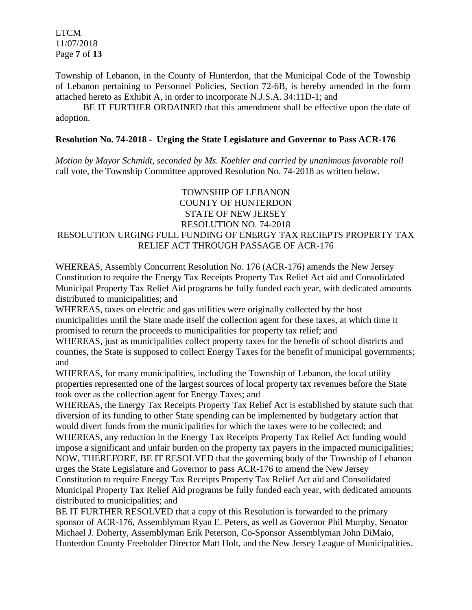LTCM 11/07/2018 Page **7** of **13**

Township of Lebanon, in the County of Hunterdon, that the Municipal Code of the Township of Lebanon pertaining to Personnel Policies, Section 72-6B, is hereby amended in the form attached hereto as Exhibit A, in order to incorporate N.J.S.A. 34:11D-1; and

BE IT FURTHER ORDAINED that this amendment shall be effective upon the date of adoption.

### **Resolution No. 74-2018 - Urging the State Legislature and Governor to Pass ACR-176**

*Motion by Mayor Schmidt, seconded by Ms. Koehler and carried by unanimous favorable roll*  call vote, the Township Committee approved Resolution No. 74-2018 as written below.

# TOWNSHIP OF LEBANON COUNTY OF HUNTERDON STATE OF NEW JERSEY RESOLUTION NO. 74-2018 RESOLUTION URGING FULL FUNDING OF ENERGY TAX RECIEPTS PROPERTY TAX RELIEF ACT THROUGH PASSAGE OF ACR-176

WHEREAS, Assembly Concurrent Resolution No. 176 (ACR-176) amends the New Jersey Constitution to require the Energy Tax Receipts Property Tax Relief Act aid and Consolidated Municipal Property Tax Relief Aid programs be fully funded each year, with dedicated amounts distributed to municipalities; and

WHEREAS, taxes on electric and gas utilities were originally collected by the host municipalities until the State made itself the collection agent for these taxes, at which time it promised to return the proceeds to municipalities for property tax relief; and

WHEREAS, just as municipalities collect property taxes for the benefit of school districts and counties, the State is supposed to collect Energy Taxes for the benefit of municipal governments; and

WHEREAS, for many municipalities, including the Township of Lebanon, the local utility properties represented one of the largest sources of local property tax revenues before the State took over as the collection agent for Energy Taxes; and

WHEREAS, the Energy Tax Receipts Property Tax Relief Act is established by statute such that diversion of its funding to other State spending can be implemented by budgetary action that would divert funds from the municipalities for which the taxes were to be collected; and WHEREAS, any reduction in the Energy Tax Receipts Property Tax Relief Act funding would impose a significant and unfair burden on the property tax payers in the impacted municipalities; NOW, THEREFORE, BE IT RESOLVED that the governing body of the Township of Lebanon urges the State Legislature and Governor to pass ACR-176 to amend the New Jersey Constitution to require Energy Tax Receipts Property Tax Relief Act aid and Consolidated Municipal Property Tax Relief Aid programs be fully funded each year, with dedicated amounts distributed to municipalities; and

BE IT FURTHER RESOLVED that a copy of this Resolution is forwarded to the primary sponsor of ACR-176, Assemblyman Ryan E. Peters, as well as Governor Phil Murphy, Senator Michael J. Doherty, Assemblyman Erik Peterson, Co-Sponsor Assemblyman John DiMaio, Hunterdon County Freeholder Director Matt Holt, and the New Jersey League of Municipalities.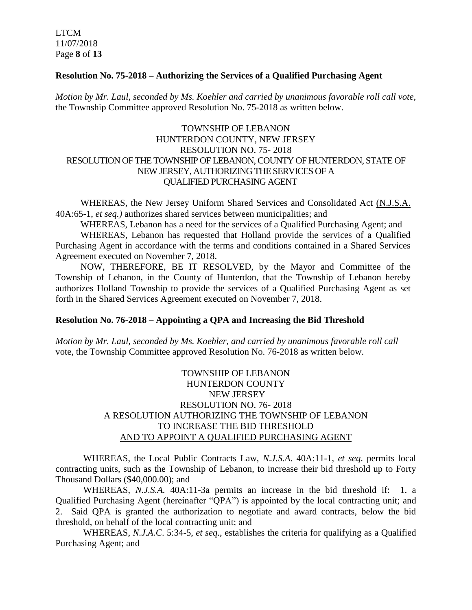LTCM 11/07/2018 Page **8** of **13**

#### **Resolution No. 75-2018 – Authorizing the Services of a Qualified Purchasing Agent**

*Motion by Mr. Laul, seconded by Ms. Koehler and carried by unanimous favorable roll call vote,*  the Township Committee approved Resolution No. 75-2018 as written below.

# TOWNSHIP OF LEBANON HUNTERDON COUNTY, NEW JERSEY RESOLUTION NO. 75- 2018 RESOLUTION OF THE TOWNSHIP OF LEBANON, COUNTY OF HUNTERDON, STATE OF NEW JERSEY, AUTHORIZING THE SERVICES OF A QUALIFIED PURCHASING AGENT

WHEREAS, the New Jersey Uniform Shared Services and Consolidated Act (N.J.S.A. 40A:65-1, *et seq.)* authorizes shared services between municipalities; and

WHEREAS, Lebanon has a need for the services of a Qualified Purchasing Agent; and WHEREAS, Lebanon has requested that Holland provide the services of a Qualified Purchasing Agent in accordance with the terms and conditions contained in a Shared Services Agreement executed on November 7, 2018.

NOW, THEREFORE, BE IT RESOLVED, by the Mayor and Committee of the Township of Lebanon, in the County of Hunterdon, that the Township of Lebanon hereby authorizes Holland Township to provide the services of a Qualified Purchasing Agent as set forth in the Shared Services Agreement executed on November 7, 2018.

#### **Resolution No. 76-2018 – Appointing a QPA and Increasing the Bid Threshold**

*Motion by Mr. Laul, seconded by Ms. Koehler, and carried by unanimous favorable roll call*  vote, the Township Committee approved Resolution No. 76-2018 as written below.

# TOWNSHIP OF LEBANON HUNTERDON COUNTY NEW JERSEY RESOLUTION NO. 76- 2018 A RESOLUTION AUTHORIZING THE TOWNSHIP OF LEBANON TO INCREASE THE BID THRESHOLD AND TO APPOINT A QUALIFIED PURCHASING AGENT

WHEREAS, the Local Public Contracts Law, *N.J.S.A*. 40A:11-1, *et seq*. permits local contracting units, such as the Township of Lebanon, to increase their bid threshold up to Forty Thousand Dollars (\$40,000.00); and

WHEREAS, *N.J.S.A.* 40A:11-3a permits an increase in the bid threshold if: 1. a Qualified Purchasing Agent (hereinafter "QPA") is appointed by the local contracting unit; and 2. Said QPA is granted the authorization to negotiate and award contracts, below the bid threshold, on behalf of the local contracting unit; and

WHEREAS, *N.J.A.C*. 5:34-5, *et seq*., establishes the criteria for qualifying as a Qualified Purchasing Agent; and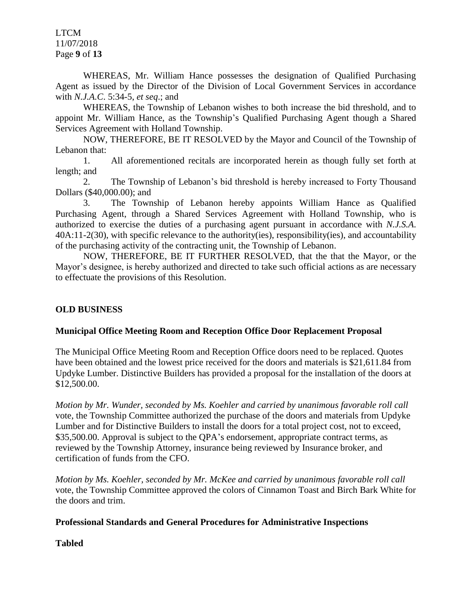LTCM 11/07/2018 Page **9** of **13**

WHEREAS, Mr. William Hance possesses the designation of Qualified Purchasing Agent as issued by the Director of the Division of Local Government Services in accordance with *N.J.A.C*. 5:34-5, *et seq*.; and

WHEREAS, the Township of Lebanon wishes to both increase the bid threshold, and to appoint Mr. William Hance, as the Township's Qualified Purchasing Agent though a Shared Services Agreement with Holland Township.

NOW, THEREFORE, BE IT RESOLVED by the Mayor and Council of the Township of Lebanon that:

1. All aforementioned recitals are incorporated herein as though fully set forth at length; and

2. The Township of Lebanon's bid threshold is hereby increased to Forty Thousand Dollars (\$40,000.00); and

3. The Township of Lebanon hereby appoints William Hance as Qualified Purchasing Agent, through a Shared Services Agreement with Holland Township, who is authorized to exercise the duties of a purchasing agent pursuant in accordance with *N.J.S.A*. 40A:11-2(30), with specific relevance to the authority(ies), responsibility(ies), and accountability of the purchasing activity of the contracting unit, the Township of Lebanon.

NOW, THEREFORE, BE IT FURTHER RESOLVED, that the that the Mayor, or the Mayor's designee, is hereby authorized and directed to take such official actions as are necessary to effectuate the provisions of this Resolution.

### **OLD BUSINESS**

### **Municipal Office Meeting Room and Reception Office Door Replacement Proposal**

The Municipal Office Meeting Room and Reception Office doors need to be replaced. Quotes have been obtained and the lowest price received for the doors and materials is \$21,611.84 from Updyke Lumber. Distinctive Builders has provided a proposal for the installation of the doors at \$12,500.00.

*Motion by Mr. Wunder, seconded by Ms. Koehler and carried by unanimous favorable roll call*  vote, the Township Committee authorized the purchase of the doors and materials from Updyke Lumber and for Distinctive Builders to install the doors for a total project cost, not to exceed, \$35,500.00. Approval is subject to the OPA's endorsement, appropriate contract terms, as reviewed by the Township Attorney, insurance being reviewed by Insurance broker, and certification of funds from the CFO.

*Motion by Ms. Koehler, seconded by Mr. McKee and carried by unanimous favorable roll call*  vote, the Township Committee approved the colors of Cinnamon Toast and Birch Bark White for the doors and trim.

#### **Professional Standards and General Procedures for Administrative Inspections**

**Tabled**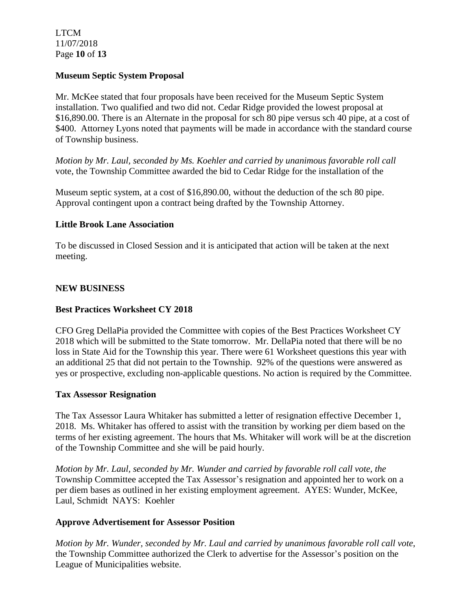LTCM 11/07/2018 Page **10** of **13**

# **Museum Septic System Proposal**

Mr. McKee stated that four proposals have been received for the Museum Septic System installation. Two qualified and two did not. Cedar Ridge provided the lowest proposal at \$16,890.00. There is an Alternate in the proposal for sch 80 pipe versus sch 40 pipe, at a cost of \$400. Attorney Lyons noted that payments will be made in accordance with the standard course of Township business.

*Motion by Mr. Laul, seconded by Ms. Koehler and carried by unanimous favorable roll call*  vote, the Township Committee awarded the bid to Cedar Ridge for the installation of the

Museum septic system, at a cost of \$16,890.00, without the deduction of the sch 80 pipe. Approval contingent upon a contract being drafted by the Township Attorney.

# **Little Brook Lane Association**

To be discussed in Closed Session and it is anticipated that action will be taken at the next meeting.

# **NEW BUSINESS**

# **Best Practices Worksheet CY 2018**

CFO Greg DellaPia provided the Committee with copies of the Best Practices Worksheet CY 2018 which will be submitted to the State tomorrow. Mr. DellaPia noted that there will be no loss in State Aid for the Township this year. There were 61 Worksheet questions this year with an additional 25 that did not pertain to the Township. 92% of the questions were answered as yes or prospective, excluding non-applicable questions. No action is required by the Committee.

### **Tax Assessor Resignation**

The Tax Assessor Laura Whitaker has submitted a letter of resignation effective December 1, 2018. Ms. Whitaker has offered to assist with the transition by working per diem based on the terms of her existing agreement. The hours that Ms. Whitaker will work will be at the discretion of the Township Committee and she will be paid hourly.

*Motion by Mr. Laul, seconded by Mr. Wunder and carried by favorable roll call vote, the* Township Committee accepted the Tax Assessor's resignation and appointed her to work on a per diem bases as outlined in her existing employment agreement. AYES: Wunder, McKee, Laul, Schmidt NAYS: Koehler

### **Approve Advertisement for Assessor Position**

*Motion by Mr. Wunder, seconded by Mr. Laul and carried by unanimous favorable roll call vote*, the Township Committee authorized the Clerk to advertise for the Assessor's position on the League of Municipalities website.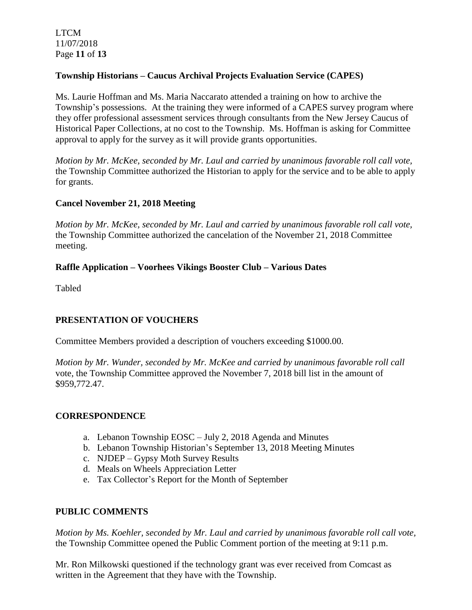LTCM 11/07/2018 Page **11** of **13**

# **Township Historians – Caucus Archival Projects Evaluation Service (CAPES)**

Ms. Laurie Hoffman and Ms. Maria Naccarato attended a training on how to archive the Township's possessions. At the training they were informed of a CAPES survey program where they offer professional assessment services through consultants from the New Jersey Caucus of Historical Paper Collections, at no cost to the Township. Ms. Hoffman is asking for Committee approval to apply for the survey as it will provide grants opportunities.

*Motion by Mr. McKee, seconded by Mr. Laul and carried by unanimous favorable roll call vote,* the Township Committee authorized the Historian to apply for the service and to be able to apply for grants.

# **Cancel November 21, 2018 Meeting**

*Motion by Mr. McKee, seconded by Mr. Laul and carried by unanimous favorable roll call vote,* the Township Committee authorized the cancelation of the November 21, 2018 Committee meeting.

# **Raffle Application – Voorhees Vikings Booster Club – Various Dates**

Tabled

# **PRESENTATION OF VOUCHERS**

Committee Members provided a description of vouchers exceeding \$1000.00.

*Motion by Mr. Wunder, seconded by Mr. McKee and carried by unanimous favorable roll call*  vote, the Township Committee approved the November 7, 2018 bill list in the amount of \$959,772.47.

### **CORRESPONDENCE**

- a. Lebanon Township EOSC July 2, 2018 Agenda and Minutes
- b. Lebanon Township Historian's September 13, 2018 Meeting Minutes
- c. NJDEP Gypsy Moth Survey Results
- d. Meals on Wheels Appreciation Letter
- e. Tax Collector's Report for the Month of September

# **PUBLIC COMMENTS**

*Motion by Ms. Koehler, seconded by Mr. Laul and carried by unanimous favorable roll call vote,* the Township Committee opened the Public Comment portion of the meeting at 9:11 p.m.

Mr. Ron Milkowski questioned if the technology grant was ever received from Comcast as written in the Agreement that they have with the Township.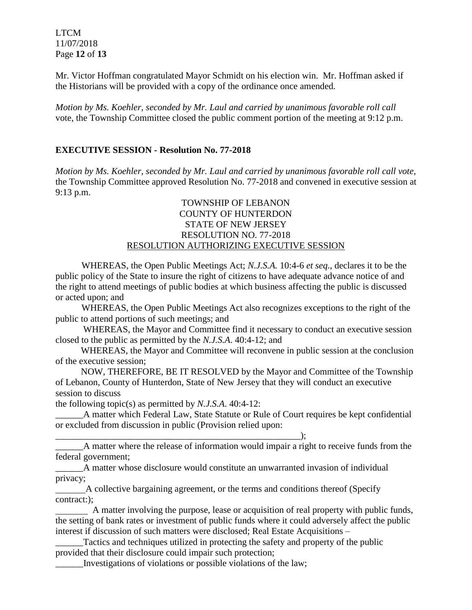LTCM 11/07/2018 Page **12** of **13**

Mr. Victor Hoffman congratulated Mayor Schmidt on his election win. Mr. Hoffman asked if the Historians will be provided with a copy of the ordinance once amended.

*Motion by Ms. Koehler, seconded by Mr. Laul and carried by unanimous favorable roll call*  vote, the Township Committee closed the public comment portion of the meeting at 9:12 p.m.

# **EXECUTIVE SESSION - Resolution No. 77-2018**

*Motion by Ms. Koehler, seconded by Mr. Laul and carried by unanimous favorable roll call vote,* the Township Committee approved Resolution No. 77-2018 and convened in executive session at 9:13 p.m.

# TOWNSHIP OF LEBANON COUNTY OF HUNTERDON STATE OF NEW JERSEY RESOLUTION NO. 77-2018 RESOLUTION AUTHORIZING EXECUTIVE SESSION

WHEREAS, the Open Public Meetings Act; *N.J.S.A.* 10:4-6 *et seq*., declares it to be the public policy of the State to insure the right of citizens to have adequate advance notice of and the right to attend meetings of public bodies at which business affecting the public is discussed or acted upon; and

WHEREAS, the Open Public Meetings Act also recognizes exceptions to the right of the public to attend portions of such meetings; and

 WHEREAS, the Mayor and Committee find it necessary to conduct an executive session closed to the public as permitted by the *N.J.S.A*. 40:4-12; and

 WHEREAS, the Mayor and Committee will reconvene in public session at the conclusion of the executive session;

 NOW, THEREFORE, BE IT RESOLVED by the Mayor and Committee of the Township of Lebanon, County of Hunterdon, State of New Jersey that they will conduct an executive session to discuss

the following topic(s) as permitted by *N.J.S.A*. 40:4-12:

\_\_\_\_\_\_A matter which Federal Law, State Statute or Rule of Court requires be kept confidential or excluded from discussion in public (Provision relied upon:

 $\qquad \qquad ; \qquad$ 

\_\_\_\_\_\_A matter where the release of information would impair a right to receive funds from the federal government;

\_\_\_\_\_\_A matter whose disclosure would constitute an unwarranted invasion of individual privacy;

 A collective bargaining agreement, or the terms and conditions thereof (Specify contract:);

 A matter involving the purpose, lease or acquisition of real property with public funds, the setting of bank rates or investment of public funds where it could adversely affect the public interest if discussion of such matters were disclosed; Real Estate Acquisitions –

Tactics and techniques utilized in protecting the safety and property of the public provided that their disclosure could impair such protection;

\_\_\_\_\_\_Investigations of violations or possible violations of the law;